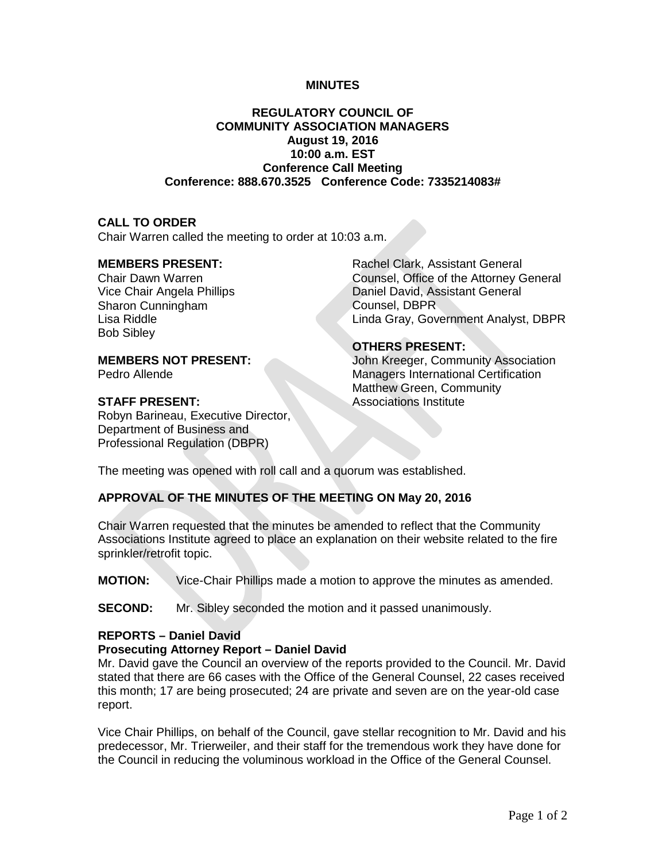#### **MINUTES**

# **REGULATORY COUNCIL OF COMMUNITY ASSOCIATION MANAGERS August 19, 2016 10:00 a.m. EST Conference Call Meeting Conference: 888.670.3525 Conference Code: 7335214083#**

### **CALL TO ORDER**

Chair Warren called the meeting to order at 10:03 a.m.

## **MEMBERS PRESENT:**

Chair Dawn Warren Vice Chair Angela Phillips Sharon Cunningham Lisa Riddle Bob Sibley

## **MEMBERS NOT PRESENT:**

Pedro Allende

# **STAFF PRESENT:**

Robyn Barineau, Executive Director, Department of Business and Professional Regulation (DBPR)

Rachel Clark, Assistant General Counsel, Office of the Attorney General Daniel David, Assistant General Counsel, DBPR Linda Gray, Government Analyst, DBPR

### **OTHERS PRESENT:**

John Kreeger, Community Association Managers International Certification Matthew Green, Community Associations Institute

The meeting was opened with roll call and a quorum was established.

# **APPROVAL OF THE MINUTES OF THE MEETING ON May 20, 2016**

Chair Warren requested that the minutes be amended to reflect that the Community Associations Institute agreed to place an explanation on their website related to the fire sprinkler/retrofit topic.

**MOTION:** Vice-Chair Phillips made a motion to approve the minutes as amended.

**SECOND:** Mr. Sibley seconded the motion and it passed unanimously.

#### **REPORTS – Daniel David**

#### **Prosecuting Attorney Report – Daniel David**

Mr. David gave the Council an overview of the reports provided to the Council. Mr. David stated that there are 66 cases with the Office of the General Counsel, 22 cases received this month; 17 are being prosecuted; 24 are private and seven are on the year-old case report.

Vice Chair Phillips, on behalf of the Council, gave stellar recognition to Mr. David and his predecessor, Mr. Trierweiler, and their staff for the tremendous work they have done for the Council in reducing the voluminous workload in the Office of the General Counsel.